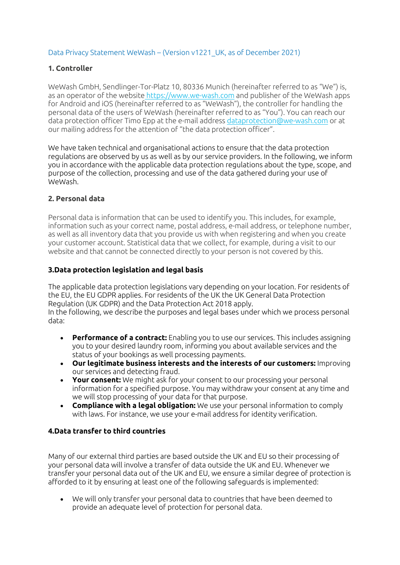## Data Privacy Statement WeWash – (Version v1221\_UK, as of December 2021)

#### **1. Controller**

WeWash GmbH, Sendlinger-Tor-Platz 10, 80336 Munich (hereinafter referred to as "We") is, as an operator of the website https://www.we-wash.com and publisher of the WeWash apps for Android and iOS (hereinafter referred to as "WeWash"), the controller for handling the personal data of the users of WeWash (hereinafter referred to as "You"). You can reach our data protection officer Timo Epp at the e-mail address dataprotection@we-wash.com or at our mailing address for the attention of "the data protection officer".

We have taken technical and organisational actions to ensure that the data protection regulations are observed by us as well as by our service providers. In the following, we inform you in accordance with the applicable data protection regulations about the type, scope, and purpose of the collection, processing and use of the data gathered during your use of WeWash.

#### **2. Personal data**

Personal data is information that can be used to identify you. This includes, for example, information such as your correct name, postal address, e-mail address, or telephone number, as well as all inventory data that you provide us with when registering and when you create your customer account. Statistical data that we collect, for example, during a visit to our website and that cannot be connected directly to your person is not covered by this.

#### **3.Data protection legislation and legal basis**

The applicable data protection legislations vary depending on your location. For residents of the EU, the EU GDPR applies. For residents of the UK the UK General Data Protection Regulation (UK GDPR) and the Data Protection Act 2018 apply. In the following, we describe the purposes and legal bases under which we process personal data:

- **Performance of a contract:** Enabling you to use our services. This includes assigning you to your desired laundry room, informing you about available services and the status of your bookings as well processing payments.
- **Our legitimate business interests and the interests of our customers:** Improving our services and detecting fraud.
- **Your consent:** We might ask for your consent to our processing your personal information for a specified purpose. You may withdraw your consent at any time and we will stop processing of your data for that purpose.
- **Compliance with a legal obligation:** We use your personal information to comply with laws. For instance, we use your e-mail address for identity verification.

## **4.Data transfer to third countries**

Many of our external third parties are based outside the UK and EU so their processing of your personal data will involve a transfer of data outside the UK and EU. Whenever we transfer your personal data out of the UK and EU, we ensure a similar degree of protection is afforded to it by ensuring at least one of the following safeguards is implemented:

• We will only transfer your personal data to countries that have been deemed to provide an adequate level of protection for personal data.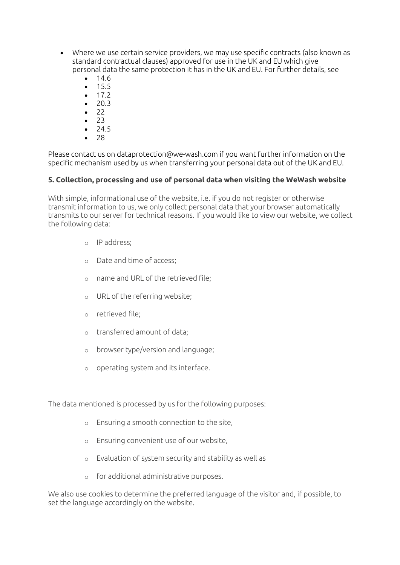- Where we use certain service providers, we may use specific contracts (also known as standard contractual clauses) approved for use in the UK and EU which give personal data the same protection it has in the UK and EU. For further details, see
	- 14.6
	- $15.5$
	- $17.2$ • 20.3
	- 22
	- 23
	- 24.5
	- 28

Please contact us on dataprotection@we-wash.com if you want further information on the specific mechanism used by us when transferring your personal data out of the UK and EU.

## **5. Collection, processing and use of personal data when visiting the WeWash website**

With simple, informational use of the website, i.e. if you do not register or otherwise transmit information to us, we only collect personal data that your browser automatically transmits to our server for technical reasons. If you would like to view our website, we collect the following data:

- o IP address;
- o Date and time of access;
- o name and URL of the retrieved file;
- o URL of the referring website;
- o retrieved file;
- o transferred amount of data;
- o browser type/version and language;
- o operating system and its interface.

The data mentioned is processed by us for the following purposes:

- o Ensuring a smooth connection to the site,
- o Ensuring convenient use of our website,
- o Evaluation of system security and stability as well as
- o for additional administrative purposes.

We also use cookies to determine the preferred language of the visitor and, if possible, to set the language accordingly on the website.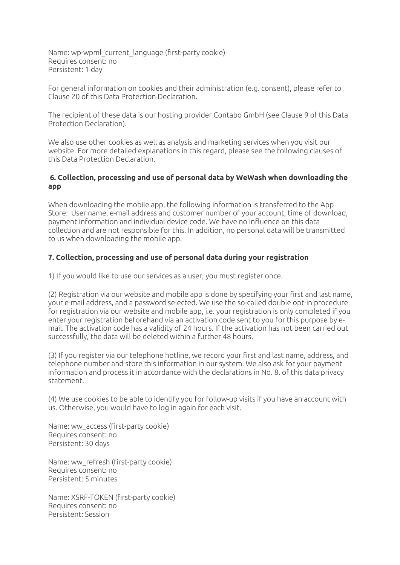Name: wp-wpml\_current\_language (first-party cookie) Requires consent: no Persistent: 1 day

For general information on cookies and their administration (e.g. consent), please refer to Clause 20 of this Data Protection Declaration.

The recipient of these data is our hosting provider Contabo GmbH (see Clause 9 of this Data Protection Declaration).

We also use other cookies as well as analysis and marketing services when you visit our website. For more detailed explanations in this regard, please see the following clauses of this Data Protection Declaration.

#### **6. Collection, processing and use of personal data by WeWash when downloading the app**

When downloading the mobile app, the following information is transferred to the App Store: User name, e-mail address and customer number of your account, time of download, payment information and individual device code. We have no influence on this data collection and are not responsible for this. In addition, no personal data will be transmitted to us when downloading the mobile app.

# **7. Collection, processing and use of personal data during your registration**

1) If you would like to use our services as a user, you must register once.

(2) Registration via our website and mobile app is done by specifying your first and last name, your e-mail address, and a password selected. We use the so-called double opt-in procedure for registration via our website and mobile app, i.e. your registration is only completed if you enter your registration beforehand via an activation code sent to you for this purpose by email. The activation code has a validity of 24 hours. If the activation has not been carried out successfully, the data will be deleted within a further 48 hours.

(3) If you register via our telephone hotline, we record your first and last name, address, and telephone number and store this information in our system. We also ask for your payment information and process it in accordance with the declarations in No. 8. of this data privacy statement.

(4) We use cookies to be able to identify you for follow-up visits if you have an account with us. Otherwise, you would have to log in again for each visit.

Name: ww\_access (first-party cookie) Requires consent: no Persistent: 30 days

Name: ww\_refresh (first-party cookie) Requires consent: no Persistent: 5 minutes

Name: XSRF-TOKEN (first-party cookie) Requires consent: no Persistent: Session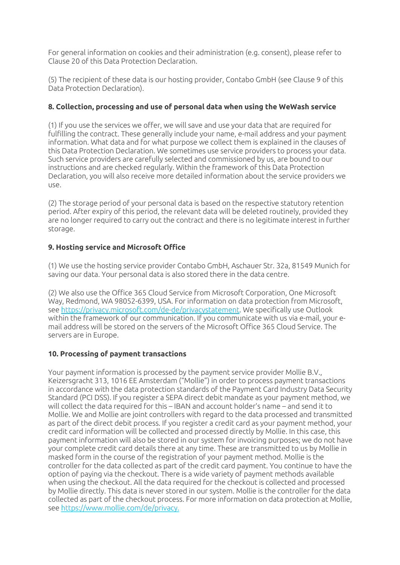For general information on cookies and their administration (e.g. consent), please refer to Clause 20 of this Data Protection Declaration.

(5) The recipient of these data is our hosting provider, Contabo GmbH (see Clause 9 of this Data Protection Declaration).

# **8. Collection, processing and use of personal data when using the WeWash service**

(1) If you use the services we offer, we will save and use your data that are required for fulfilling the contract. These generally include your name, e-mail address and your payment information. What data and for what purpose we collect them is explained in the clauses of this Data Protection Declaration. We sometimes use service providers to process your data. Such service providers are carefully selected and commissioned by us, are bound to our instructions and are checked regularly. Within the framework of this Data Protection Declaration, you will also receive more detailed information about the service providers we use.

(2) The storage period of your personal data is based on the respective statutory retention period. After expiry of this period, the relevant data will be deleted routinely, provided they are no longer required to carry out the contract and there is no legitimate interest in further storage.

# **9. Hosting service and Microsoft Office**

(1) We use the hosting service provider Contabo GmbH, Aschauer Str. 32a, 81549 Munich for saving our data. Your personal data is also stored there in the data centre.

(2) We also use the Office 365 Cloud Service from Microsoft Corporation, One Microsoft Way, Redmond, WA 98052-6399, USA. For information on data protection from Microsoft, see https://privacy.microsoft.com/de-de/privacystatement. We specifically use Outlook within the framework of our communication. If you communicate with us via e-mail, your email address will be stored on the servers of the Microsoft Office 365 Cloud Service. The servers are in Europe.

## **10. Processing of payment transactions**

Your payment information is processed by the payment service provider Mollie B.V., Keizersgracht 313, 1016 EE Amsterdam ("Mollie") in order to process payment transactions in accordance with the data protection standards of the Payment Card Industry Data Security Standard (PCI DSS). If you register a SEPA direct debit mandate as your payment method, we will collect the data required for this – IBAN and account holder's name – and send it to Mollie. We and Mollie are joint controllers with regard to the data processed and transmitted as part of the direct debit process. If you register a credit card as your payment method, your credit card information will be collected and processed directly by Mollie. In this case, this payment information will also be stored in our system for invoicing purposes; we do not have your complete credit card details there at any time. These are transmitted to us by Mollie in masked form in the course of the registration of your payment method. Mollie is the controller for the data collected as part of the credit card payment. You continue to have the option of paying via the checkout. There is a wide variety of payment methods available when using the checkout. All the data required for the checkout is collected and processed by Mollie directly. This data is never stored in our system. Mollie is the controller for the data collected as part of the checkout process. For more information on data protection at Mollie, see https://www.mollie.com/de/privacy.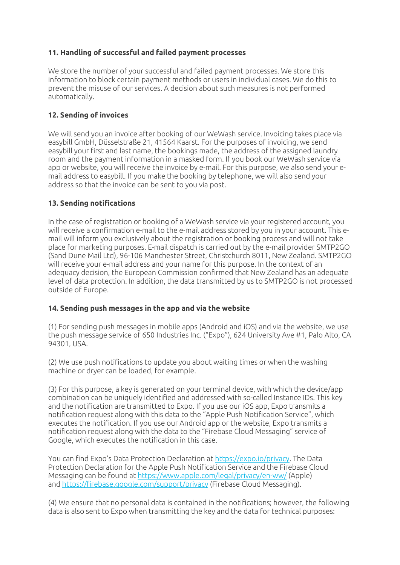# **11. Handling of successful and failed payment processes**

We store the number of your successful and failed payment processes. We store this information to block certain payment methods or users in individual cases. We do this to prevent the misuse of our services. A decision about such measures is not performed automatically.

# **12. Sending of invoices**

We will send you an invoice after booking of our WeWash service. Invoicing takes place via easybill GmbH, Düsselstraße 21, 41564 Kaarst. For the purposes of invoicing, we send easybill your first and last name, the bookings made, the address of the assigned laundry room and the payment information in a masked form. If you book our WeWash service via app or website, you will receive the invoice by e-mail. For this purpose, we also send your email address to easybill. If you make the booking by telephone, we will also send your address so that the invoice can be sent to you via post.

## **13. Sending notifications**

In the case of registration or booking of a WeWash service via your registered account, you will receive a confirmation e-mail to the e-mail address stored by you in your account. This email will inform you exclusively about the registration or booking process and will not take place for marketing purposes. E-mail dispatch is carried out by the e-mail provider SMTP2GO (Sand Dune Mail Ltd), 96-106 Manchester Street, Christchurch 8011, New Zealand. SMTP2GO will receive your e-mail address and your name for this purpose. In the context of an adequacy decision, the European Commission confirmed that New Zealand has an adequate level of data protection. In addition, the data transmitted by us to SMTP2GO is not processed outside of Europe.

## **14. Sending push messages in the app and via the website**

(1) For sending push messages in mobile apps (Android and iOS) and via the website, we use the push message service of 650 Industries Inc. ("Expo"), 624 University Ave #1, Palo Alto, CA 94301, USA.

(2) We use push notifications to update you about waiting times or when the washing machine or dryer can be loaded, for example.

(3) For this purpose, a key is generated on your terminal device, with which the device/app combination can be uniquely identified and addressed with so-called Instance IDs. This key and the notification are transmitted to Expo. If you use our iOS app, Expo transmits a notification request along with this data to the "Apple Push Notification Service", which executes the notification. If you use our Android app or the website, Expo transmits a notification request along with the data to the "Firebase Cloud Messaging" service of Google, which executes the notification in this case.

You can find Expo's Data Protection Declaration at https://expo.io/privacy. The Data Protection Declaration for the Apple Push Notification Service and the Firebase Cloud Messaging can be found at https://www.apple.com/legal/privacy/en-ww/ (Apple) and https://firebase.google.com/support/privacy (Firebase Cloud Messaging).

(4) We ensure that no personal data is contained in the notifications; however, the following data is also sent to Expo when transmitting the key and the data for technical purposes: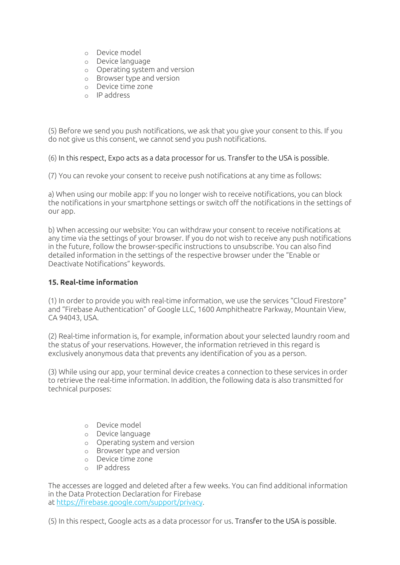- o Device model
- o Device language
- o Operating system and version
- o Browser type and version
- o Device time zone
- o IP address

(5) Before we send you push notifications, we ask that you give your consent to this. If you do not give us this consent, we cannot send you push notifications.

(6) In this respect, Expo acts as a data processor for us. Transfer to the USA is possible.

(7) You can revoke your consent to receive push notifications at any time as follows:

a) When using our mobile app: If you no longer wish to receive notifications, you can block the notifications in your smartphone settings or switch off the notifications in the settings of our app.

b) When accessing our website: You can withdraw your consent to receive notifications at any time via the settings of your browser. If you do not wish to receive any push notifications in the future, follow the browser-specific instructions to unsubscribe. You can also find detailed information in the settings of the respective browser under the "Enable or Deactivate Notifications" keywords.

## **15. Real-time information**

(1) In order to provide you with real-time information, we use the services "Cloud Firestore" and "Firebase Authentication" of Google LLC, 1600 Amphitheatre Parkway, Mountain View, CA 94043, USA.

(2) Real-time information is, for example, information about your selected laundry room and the status of your reservations. However, the information retrieved in this regard is exclusively anonymous data that prevents any identification of you as a person.

(3) While using our app, your terminal device creates a connection to these services in order to retrieve the real-time information. In addition, the following data is also transmitted for technical purposes:

- o Device model
- o Device language
- o Operating system and version
- o Browser type and version
- o Device time zone
- o IP address

The accesses are logged and deleted after a few weeks. You can find additional information in the Data Protection Declaration for Firebase at https://firebase.google.com/support/privacy.

(5) In this respect, Google acts as a data processor for us. Transfer to the USA is possible.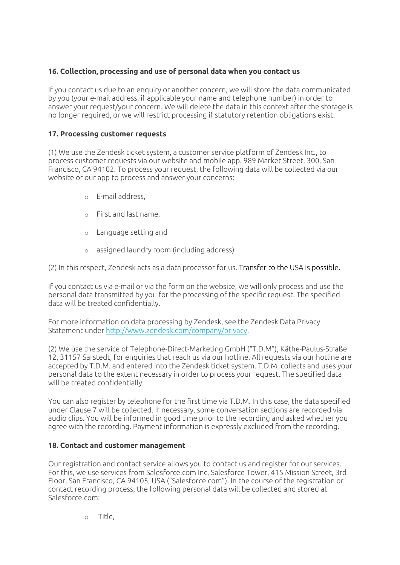# **16. Collection, processing and use of personal data when you contact us**

If you contact us due to an enquiry or another concern, we will store the data communicated by you (your e-mail address, if applicable your name and telephone number) in order to answer your request/your concern. We will delete the data in this context after the storage is no longer required, or we will restrict processing if statutory retention obligations exist.

## **17. Processing customer requests**

(1) We use the Zendesk ticket system, a customer service platform of Zendesk Inc., to process customer requests via our website and mobile app. 989 Market Street, 300, San Francisco, CA 94102. To process your request, the following data will be collected via our website or our app to process and answer your concerns:

- o E-mail address,
- o First and last name,
- o Language setting and
- o assigned laundry room (including address)

(2) In this respect, Zendesk acts as a data processor for us. Transfer to the USA is possible.

If you contact us via e-mail or via the form on the website, we will only process and use the personal data transmitted by you for the processing of the specific request. The specified data will be treated confidentially.

For more information on data processing by Zendesk, see the Zendesk Data Privacy Statement under http://www.zendesk.com/company/privacy.

(2) We use the service of Telephone-Direct-Marketing GmbH ("T.D.M"), Käthe-Paulus-Straße 12, 31157 Sarstedt, for enquiries that reach us via our hotline. All requests via our hotline are accepted by T.D.M. and entered into the Zendesk ticket system. T.D.M. collects and uses your personal data to the extent necessary in order to process your request. The specified data will be treated confidentially.

You can also register by telephone for the first time via T.D.M. In this case, the data specified under Clause 7 will be collected. If necessary, some conversation sections are recorded via audio clips. You will be informed in good time prior to the recording and asked whether you agree with the recording. Payment information is expressly excluded from the recording.

## **18. Contact and customer management**

Our registration and contact service allows you to contact us and register for our services. For this, we use services from Salesforce.com Inc, Salesforce Tower, 415 Mission Street, 3rd Floor, San Francisco, CA 94105, USA ("Salesforce.com"). In the course of the registration or contact recording process, the following personal data will be collected and stored at Salesforce.com:

o Title,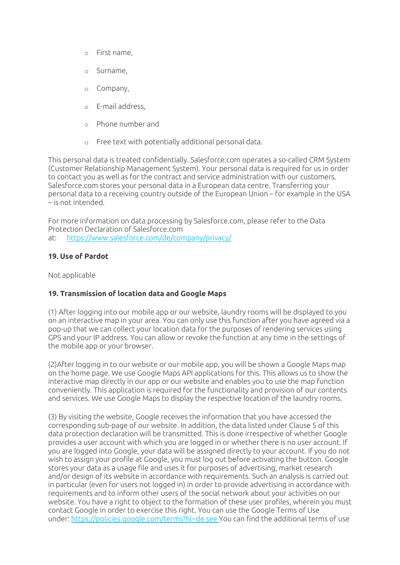- o First name,
- o Surname,
- o Company,
- o E-mail address,
- o Phone number and
- o Free text with potentially additional personal data.

This personal data is treated confidentially. Salesforce.com operates a so-called CRM System (Customer Relationship Management System). Your personal data is required for us in order to contact you as well as for the contract and service administration with our customers. Salesforce.com stores your personal data in a European data centre. Transferring your personal data to a receiving country outside of the European Union – for example in the USA – is not intended.

For more information on data processing by Salesforce.com, please refer to the Data Protection Declaration of Salesforce.com at: https://www.salesforce.com/de/company/privacy/

# **19. Use of Pardot**

Not applicable

## **19. Transmission of location data and Google Maps**

(1) After logging into our mobile app or our website, laundry rooms will be displayed to you on an interactive map in your area. You can only use this function after you have agreed via a pop-up that we can collect your location data for the purposes of rendering services using GPS and your IP address. You can allow or revoke the function at any time in the settings of the mobile app or your browser.

(2)After logging in to our website or our mobile app, you will be shown a Google Maps map on the home page. We use Google Maps API applications for this. This allows us to show the interactive map directly in our app or our website and enables you to use the map function conveniently. This application is required for the functionality and provision of our contents and services. We use Google Maps to display the respective location of the laundry rooms.

(3) By visiting the website, Google receives the information that you have accessed the corresponding sub-page of our website. In addition, the data listed under Clause 5 of this data protection declaration will be transmitted. This is done irrespective of whether Google provides a user account with which you are logged in or whether there is no user account. If you are logged into Google, your data will be assigned directly to your account. If you do not wish to assign your profile at Google, you must log out before activating the button. Google stores your data as a usage file and uses it for purposes of advertising, market research and/or design of its website in accordance with requirements. Such an analysis is carried out in particular (even for users not logged in) in order to provide advertising in accordance with requirements and to inform other users of the social network about your activities on our website. You have a right to object to the formation of these user profiles, wherein you must contact Google in order to exercise this right. You can use the Google Terms of Use under: https://policies.google.com/terms?hl=de see You can find the additional terms of use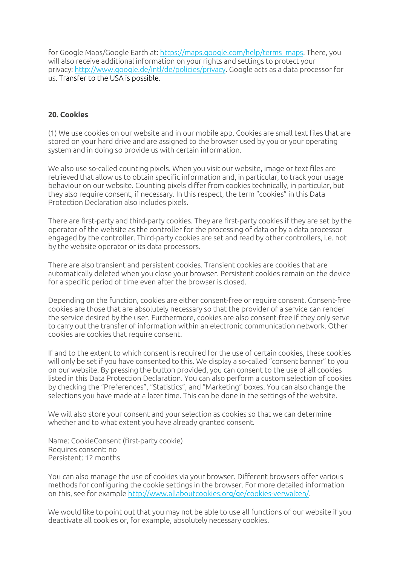for Google Maps/Google Earth at: https://maps.google.com/help/terms\_maps. There, you will also receive additional information on your rights and settings to protect your privacy: http://www.google.de/intl/de/policies/privacy. Google acts as a data processor for us. Transfer to the USA is possible.

#### **20. Cookies**

(1) We use cookies on our website and in our mobile app. Cookies are small text files that are stored on your hard drive and are assigned to the browser used by you or your operating system and in doing so provide us with certain information.

We also use so-called counting pixels. When you visit our website, image or text files are retrieved that allow us to obtain specific information and, in particular, to track your usage behaviour on our website. Counting pixels differ from cookies technically, in particular, but they also require consent, if necessary. In this respect, the term "cookies" in this Data Protection Declaration also includes pixels.

There are first-party and third-party cookies. They are first-party cookies if they are set by the operator of the website as the controller for the processing of data or by a data processor engaged by the controller. Third-party cookies are set and read by other controllers, i.e. not by the website operator or its data processors.

There are also transient and persistent cookies. Transient cookies are cookies that are automatically deleted when you close your browser. Persistent cookies remain on the device for a specific period of time even after the browser is closed.

Depending on the function, cookies are either consent-free or require consent. Consent-free cookies are those that are absolutely necessary so that the provider of a service can render the service desired by the user. Furthermore, cookies are also consent-free if they only serve to carry out the transfer of information within an electronic communication network. Other cookies are cookies that require consent.

If and to the extent to which consent is required for the use of certain cookies, these cookies will only be set if you have consented to this. We display a so-called "consent banner" to you on our website. By pressing the button provided, you can consent to the use of all cookies listed in this Data Protection Declaration. You can also perform a custom selection of cookies by checking the "Preferences", "Statistics", and "Marketing" boxes. You can also change the selections you have made at a later time. This can be done in the settings of the website.

We will also store your consent and your selection as cookies so that we can determine whether and to what extent you have already granted consent.

Name: CookieConsent (first-party cookie) Requires consent: no Persistent: 12 months

You can also manage the use of cookies via your browser. Different browsers offer various methods for configuring the cookie settings in the browser. For more detailed information on this, see for example http://www.allaboutcookies.org/ge/cookies-verwalten/.

We would like to point out that you may not be able to use all functions of our website if you deactivate all cookies or, for example, absolutely necessary cookies.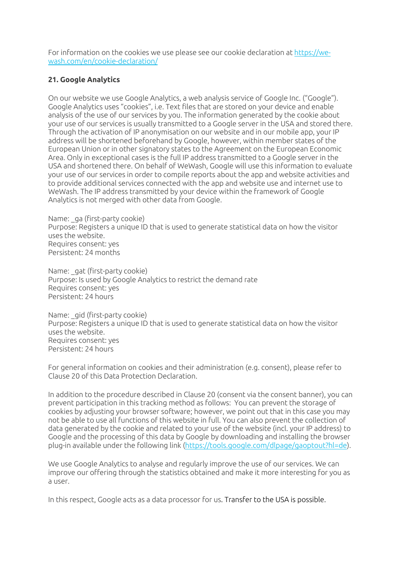For information on the cookies we use please see our cookie declaration at https://wewash.com/en/cookie-declaration/

#### **21. Google Analytics**

On our website we use Google Analytics, a web analysis service of Google Inc. ("Google"). Google Analytics uses "cookies", i.e. Text files that are stored on your device and enable analysis of the use of our services by you. The information generated by the cookie about your use of our services is usually transmitted to a Google server in the USA and stored there. Through the activation of IP anonymisation on our website and in our mobile app, your IP address will be shortened beforehand by Google, however, within member states of the European Union or in other signatory states to the Agreement on the European Economic Area. Only in exceptional cases is the full IP address transmitted to a Google server in the USA and shortened there. On behalf of WeWash, Google will use this information to evaluate your use of our services in order to compile reports about the app and website activities and to provide additional services connected with the app and website use and internet use to WeWash. The IP address transmitted by your device within the framework of Google Analytics is not merged with other data from Google.

Name: ga (first-party cookie) Purpose: Registers a unique ID that is used to generate statistical data on how the visitor uses the website. Requires consent: yes Persistent: 24 months

Name: gat (first-party cookie) Purpose: Is used by Google Analytics to restrict the demand rate Requires consent: yes Persistent: 24 hours

Name: gid (first-party cookie) Purpose: Registers a unique ID that is used to generate statistical data on how the visitor uses the website. Requires consent: yes Persistent: 24 hours

For general information on cookies and their administration (e.g. consent), please refer to Clause 20 of this Data Protection Declaration.

In addition to the procedure described in Clause 20 (consent via the consent banner), you can prevent participation in this tracking method as follows: You can prevent the storage of cookies by adjusting your browser software; however, we point out that in this case you may not be able to use all functions of this website in full. You can also prevent the collection of data generated by the cookie and related to your use of the website (incl. your IP address) to Google and the processing of this data by Google by downloading and installing the browser plug-in available under the following link (https://tools.google.com/dlpage/gaoptout?hl=de).

We use Google Analytics to analyse and regularly improve the use of our services. We can improve our offering through the statistics obtained and make it more interesting for you as a user.

In this respect, Google acts as a data processor for us. Transfer to the USA is possible.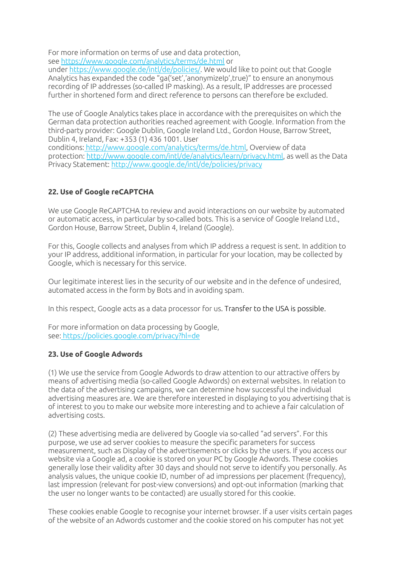For more information on terms of use and data protection, see https://www.google.com/analytics/terms/de.html or

under https://www.google.de/intl/de/policies/. We would like to point out that Google Analytics has expanded the code "ga('set','anonymizeIp',true)" to ensure an anonymous recording of IP addresses (so-called IP masking). As a result, IP addresses are processed further in shortened form and direct reference to persons can therefore be excluded.

The use of Google Analytics takes place in accordance with the prerequisites on which the German data protection authorities reached agreement with Google. Information from the third-party provider: Google Dublin, Google Ireland Ltd., Gordon House, Barrow Street, Dublin 4, Ireland, Fax: +353 (1) 436 1001. User

conditions: http://www.google.com/analytics/terms/de.html, Overview of data protection: http://www.google.com/intl/de/analytics/learn/privacy.html, as well as the Data Privacy Statement: http://www.google.de/intl/de/policies/privacy

# **22. Use of Google reCAPTCHA**

We use Google ReCAPTCHA to review and avoid interactions on our website by automated or automatic access, in particular by so-called bots. This is a service of Google Ireland Ltd., Gordon House, Barrow Street, Dublin 4, Ireland (Google).

For this, Google collects and analyses from which IP address a request is sent. In addition to your IP address, additional information, in particular for your location, may be collected by Google, which is necessary for this service.

Our legitimate interest lies in the security of our website and in the defence of undesired, automated access in the form by Bots and in avoiding spam.

In this respect, Google acts as a data processor for us. Transfer to the USA is possible.

For more information on data processing by Google, see: https://policies.google.com/privacy?hl=de

## **23. Use of Google Adwords**

(1) We use the service from Google Adwords to draw attention to our attractive offers by means of advertising media (so-called Google Adwords) on external websites. In relation to the data of the advertising campaigns, we can determine how successful the individual advertising measures are. We are therefore interested in displaying to you advertising that is of interest to you to make our website more interesting and to achieve a fair calculation of advertising costs.

(2) These advertising media are delivered by Google via so-called "ad servers". For this purpose, we use ad server cookies to measure the specific parameters for success measurement, such as Display of the advertisements or clicks by the users. If you access our website via a Google ad, a cookie is stored on your PC by Google Adwords. These cookies generally lose their validity after 30 days and should not serve to identify you personally. As analysis values, the unique cookie ID, number of ad impressions per placement (frequency), last impression (relevant for post-view conversions) and opt-out information (marking that the user no longer wants to be contacted) are usually stored for this cookie.

These cookies enable Google to recognise your internet browser. If a user visits certain pages of the website of an Adwords customer and the cookie stored on his computer has not yet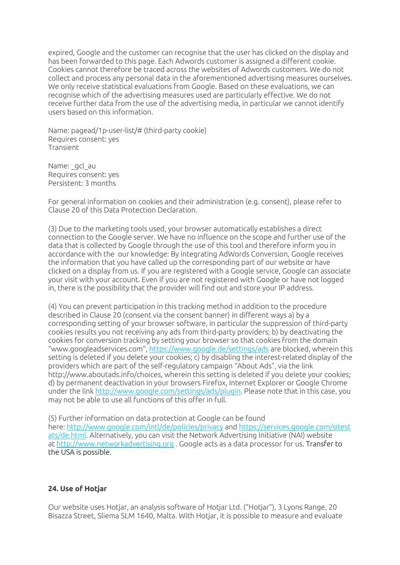expired, Google and the customer can recognise that the user has clicked on the display and has been forwarded to this page. Each Adwords customer is assigned a different cookie. Cookies cannot therefore be traced across the websites of Adwords customers. We do not collect and process any personal data in the aforementioned advertising measures ourselves. We only receive statistical evaluations from Google. Based on these evaluations, we can recognise which of the advertising measures used are particularly effective. We do not receive further data from the use of the advertising media, in particular we cannot identify users based on this information.

Name: pagead/1p-user-list/# (third-party cookie) Requires consent: yes Transient

Name: gcl au Requires consent: yes Persistent: 3 months

For general information on cookies and their administration (e.g. consent), please refer to Clause 20 of this Data Protection Declaration.

(3) Due to the marketing tools used, your browser automatically establishes a direct connection to the Google server. We have no influence on the scope and further use of the data that is collected by Google through the use of this tool and therefore inform you in accordance with the our knowledge: By integrating AdWords Conversion, Google receives the information that you have called up the corresponding part of our website or have clicked on a display from us. If you are registered with a Google service, Google can associate your visit with your account. Even if you are not registered with Google or have not logged in, there is the possibility that the provider will find out and store your IP address.

(4) You can prevent participation in this tracking method in addition to the procedure described in Clause 20 (consent via the consent banner) in different ways a) by a corresponding setting of your browser software, in particular the suppression of third-party cookies results you not receiving any ads from third-party providers; b) by deactivating the cookies for conversion tracking by setting your browser so that cookies from the domain "www.googleadservices.com", https://www.google.de/settings/ads are blocked, wherein this setting is deleted if you delete your cookies; c) by disabling the interest-related display of the providers which are part of the self-regulatory campaign "About Ads", via the link http://www.aboutads.info/choices, wherein this setting is deleted if you delete your cookies; d) by permanent deactivation in your browsers Firefox, Internet Explorer or Google Chrome under the link http://www.google.com/settings/ads/plugin. Please note that in this case, you may not be able to use all functions of this offer in full.

(5) Further information on data protection at Google can be found here: http://www.google.com/intl/de/policies/privacy and https://services.google.com/sitest ats/de.html. Alternatively, you can visit the Network Advertising Initiative (NAI) website at http://www.networkadvertising.org . Google acts as a data processor for us. Transfer to the USA is possible.

## **24. Use of Hotjar**

Our website uses Hotjar, an analysis software of Hotjar Ltd. ("Hotjar"), 3 Lyons Range, 20 Bisazza Street, Sliema SLM 1640, Malta. With Hotjar, it is possible to measure and evaluate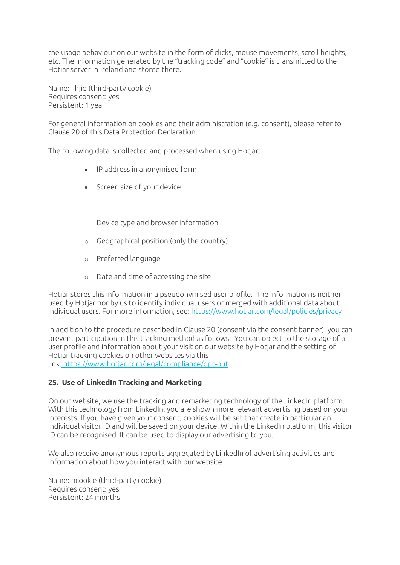the usage behaviour on our website in the form of clicks, mouse movements, scroll heights, etc. The information generated by the "tracking code" and "cookie" is transmitted to the Hotjar server in Ireland and stored there.

Name: hijd (third-party cookie) Requires consent: yes Persistent: 1 year

For general information on cookies and their administration (e.g. consent), please refer to Clause 20 of this Data Protection Declaration.

The following data is collected and processed when using Hotjar:

- IP address in anonymised form
- Screen size of your device

Device type and browser information

- o Geographical position (only the country)
- o Preferred language
- o Date and time of accessing the site

Hotiar stores this information in a pseudonymised user profile. The information is neither used by Hotjar nor by us to identify individual users or merged with additional data about individual users. For more information, see: https://www.hotjar.com/legal/policies/privacy

In addition to the procedure described in Clause 20 (consent via the consent banner), you can prevent participation in this tracking method as follows: You can object to the storage of a user profile and information about your visit on our website by Hotjar and the setting of Hotjar tracking cookies on other websites via this link: https://www.hotjar.com/legal/compliance/opt-out

## **25. Use of LinkedIn Tracking and Marketing**

On our website, we use the tracking and remarketing technology of the LinkedIn platform. With this technology from LinkedIn, you are shown more relevant advertising based on your interests. If you have given your consent, cookies will be set that create in particular an individual visitor ID and will be saved on your device. Within the LinkedIn platform, this visitor ID can be recognised. It can be used to display our advertising to you.

We also receive anonymous reports aggregated by LinkedIn of advertising activities and information about how you interact with our website.

Name: bcookie (third-party cookie) Requires consent: yes Persistent: 24 months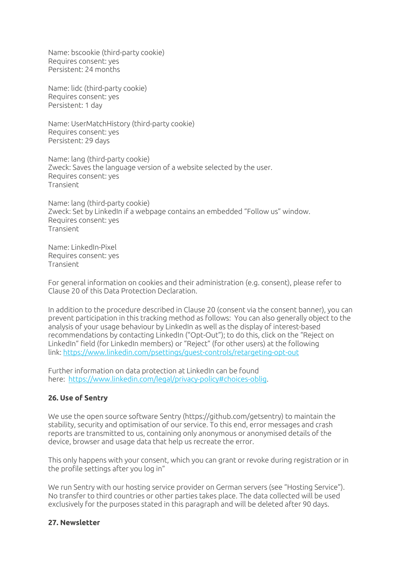Name: bscookie (third-party cookie) Requires consent: yes Persistent: 24 months

Name: lidc (third-party cookie) Requires consent: yes Persistent: 1 day

Name: UserMatchHistory (third-party cookie) Requires consent: yes Persistent: 29 days

Name: lang (third-party cookie) Zweck: Saves the language version of a website selected by the user. Requires consent: yes Transient

Name: lang (third-party cookie) Zweck: Set by LinkedIn if a webpage contains an embedded "Follow us" window. Requires consent: yes Transient

Name: LinkedIn-Pixel Requires consent: yes Transient

For general information on cookies and their administration (e.g. consent), please refer to Clause 20 of this Data Protection Declaration.

In addition to the procedure described in Clause 20 (consent via the consent banner), you can prevent participation in this tracking method as follows: You can also generally object to the analysis of your usage behaviour by LinkedIn as well as the display of interest-based recommendations by contacting LinkedIn ("Opt-Out"); to do this, click on the "Reject on LinkedIn" field (for LinkedIn members) or "Reject" (for other users) at the following link: https://www.linkedin.com/psettings/guest-controls/retargeting-opt-out

Further information on data protection at LinkedIn can be found here: https://www.linkedin.com/legal/privacy-policy#choices-oblig.

## **26. Use of Sentry**

We use the open source software Sentry (https://github.com/getsentry) to maintain the stability, security and optimisation of our service. To this end, error messages and crash reports are transmitted to us, containing only anonymous or anonymised details of the device, browser and usage data that help us recreate the error.

This only happens with your consent, which you can grant or revoke during registration or in the profile settings after you log in"

We run Sentry with our hosting service provider on German servers (see "Hosting Service"). No transfer to third countries or other parties takes place. The data collected will be used exclusively for the purposes stated in this paragraph and will be deleted after 90 days.

#### **27. Newsletter**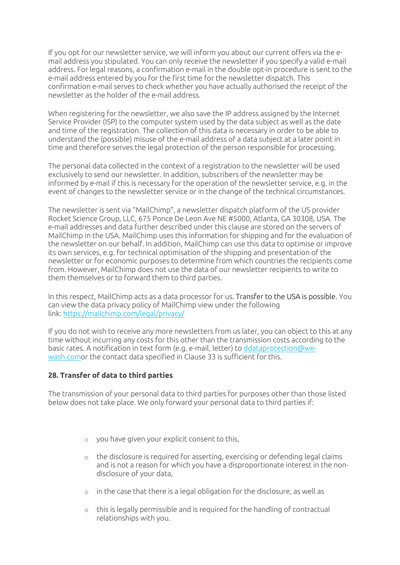If you opt for our newsletter service, we will inform you about our current offers via the email address you stipulated. You can only receive the newsletter if you specify a valid e-mail address. For legal reasons, a confirmation e-mail in the double opt-in procedure is sent to the e-mail address entered by you for the first time for the newsletter dispatch. This confirmation e-mail serves to check whether you have actually authorised the receipt of the newsletter as the holder of the e-mail address.

When registering for the newsletter, we also save the IP address assigned by the Internet Service Provider (ISP) to the computer system used by the data subject as well as the date and time of the registration. The collection of this data is necessary in order to be able to understand the (possible) misuse of the e-mail address of a data subject at a later point in time and therefore serves the legal protection of the person responsible for processing.

The personal data collected in the context of a registration to the newsletter will be used exclusively to send our newsletter. In addition, subscribers of the newsletter may be informed by e-mail if this is necessary for the operation of the newsletter service, e.g. in the event of changes to the newsletter service or in the change of the technical circumstances.

The newsletter is sent via "MailChimp", a newsletter dispatch platform of the US provider Rocket Science Group, LLC, 675 Ponce De Leon Ave NE #5000, Atlanta, GA 30308, USA. The e-mail addresses and data further described under this clause are stored on the servers of MailChimp in the USA. MailChimp uses this information for shipping and for the evaluation of the newsletter on our behalf. In addition, MailChimp can use this data to optimise or improve its own services, e.g. for technical optimisation of the shipping and presentation of the newsletter or for economic purposes to determine from which countries the recipients come from. However, MailChimp does not use the data of our newsletter recipients to write to them themselves or to forward them to third parties.

In this respect, MailChimp acts as a data processor for us. Transfer to the USA is possible. You can view the data privacy policy of MailChimp view under the following link: https://mailchimp.com/legal/privacy/

If you do not wish to receive any more newsletters from us later, you can object to this at any time without incurring any costs for this other than the transmission costs according to the basic rates. A notification in text form (e.g. e-mail, letter) to ddataprotection@wewash.comor the contact data specified in Clause 33 is sufficient for this.

## **28. Transfer of data to third parties**

The transmission of your personal data to third parties for purposes other than those listed below does not take place. We only forward your personal data to third parties if:

- o you have given your explicit consent to this,
- o the disclosure is required for asserting, exercising or defending legal claims and is not a reason for which you have a disproportionate interest in the nondisclosure of your data,
- o in the case that there is a legal obligation for the disclosure, as well as
- o this is legally permissible and is required for the handling of contractual relationships with you.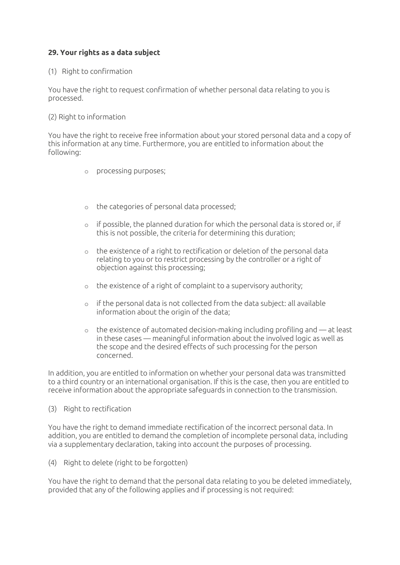## **29. Your rights as a data subject**

#### (1) Right to confirmation

You have the right to request confirmation of whether personal data relating to you is processed.

#### (2) Right to information

You have the right to receive free information about your stored personal data and a copy of this information at any time. Furthermore, you are entitled to information about the following:

- o processing purposes;
- o the categories of personal data processed;
- $\circ$  if possible, the planned duration for which the personal data is stored or, if this is not possible, the criteria for determining this duration;
- o the existence of a right to rectification or deletion of the personal data relating to you or to restrict processing by the controller or a right of objection against this processing;
- o the existence of a right of complaint to a supervisory authority;
- o if the personal data is not collected from the data subject: all available information about the origin of the data;
- $\circ$  the existence of automated decision-making including profiling and  $-$  at least in these cases — meaningful information about the involved logic as well as the scope and the desired effects of such processing for the person concerned.

In addition, you are entitled to information on whether your personal data was transmitted to a third country or an international organisation. If this is the case, then you are entitled to receive information about the appropriate safeguards in connection to the transmission.

#### (3) Right to rectification

You have the right to demand immediate rectification of the incorrect personal data. In addition, you are entitled to demand the completion of incomplete personal data, including via a supplementary declaration, taking into account the purposes of processing.

(4) Right to delete (right to be forgotten)

You have the right to demand that the personal data relating to you be deleted immediately, provided that any of the following applies and if processing is not required: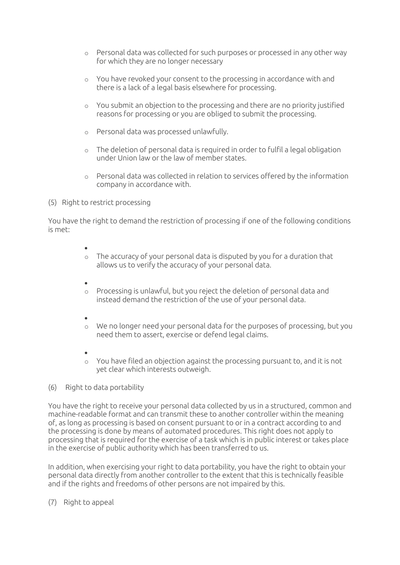- o Personal data was collected for such purposes or processed in any other way for which they are no longer necessary
- o You have revoked your consent to the processing in accordance with and there is a lack of a legal basis elsewhere for processing.
- o You submit an objection to the processing and there are no priority justified reasons for processing or you are obliged to submit the processing.
- o Personal data was processed unlawfully.
- $\circ$  The deletion of personal data is required in order to fulfil a legal obligation under Union law or the law of member states.
- o Personal data was collected in relation to services offered by the information company in accordance with.
- (5) Right to restrict processing

You have the right to demand the restriction of processing if one of the following conditions is met:

•

- o The accuracy of your personal data is disputed by you for a duration that allows us to verify the accuracy of your personal data.
- •
- o Processing is unlawful, but you reject the deletion of personal data and instead demand the restriction of the use of your personal data.
- •
- o We no longer need your personal data for the purposes of processing, but you need them to assert, exercise or defend legal claims.
- •
- o You have filed an objection against the processing pursuant to, and it is not yet clear which interests outweigh.
- (6) Right to data portability

You have the right to receive your personal data collected by us in a structured, common and machine-readable format and can transmit these to another controller within the meaning of, as long as processing is based on consent pursuant to or in a contract according to and the processing is done by means of automated procedures. This right does not apply to processing that is required for the exercise of a task which is in public interest or takes place in the exercise of public authority which has been transferred to us.

In addition, when exercising your right to data portability, you have the right to obtain your personal data directly from another controller to the extent that this is technically feasible and if the rights and freedoms of other persons are not impaired by this.

(7) Right to appeal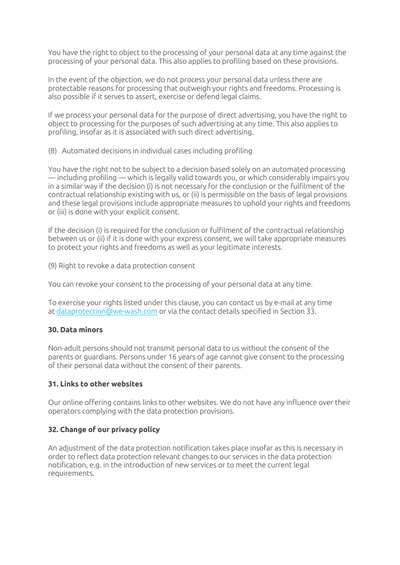You have the right to object to the processing of your personal data at any time against the processing of your personal data. This also applies to profiling based on these provisions.

In the event of the objection, we do not process your personal data unless there are protectable reasons for processing that outweigh your rights and freedoms. Processing is also possible if it serves to assert, exercise or defend legal claims.

If we process your personal data for the purpose of direct advertising, you have the right to object to processing for the purposes of such advertising at any time. This also applies to profiling, insofar as it is associated with such direct advertising.

(8) Automated decisions in individual cases including profiling

You have the right not to be subject to a decision based solely on an automated processing — including profiling — which is legally valid towards you, or which considerably impairs you in a similar way if the decision (i) is not necessary for the conclusion or the fulfilment of the contractual relationship existing with us, or (ii) is permissible on the basis of legal provisions and these legal provisions include appropriate measures to uphold your rights and freedoms or (iii) is done with your explicit consent.

If the decision (i) is required for the conclusion or fulfilment of the contractual relationship between us or (ii) if it is done with your express consent, we will take appropriate measures to protect your rights and freedoms as well as your legitimate interests.

(9) Right to revoke a data protection consent

You can revoke your consent to the processing of your personal data at any time.

To exercise your rights listed under this clause, you can contact us by e-mail at any time at dataprotection@we-wash.com or via the contact details specified in Section 33.

## **30. Data minors**

Non-adult persons should not transmit personal data to us without the consent of the parents or guardians. Persons under 16 years of age cannot give consent to the processing of their personal data without the consent of their parents.

## **31. Links to other websites**

Our online offering contains links to other websites. We do not have any influence over their operators complying with the data protection provisions.

## **32. Change of our privacy policy**

An adjustment of the data protection notification takes place insofar as this is necessary in order to reflect data protection relevant changes to our services in the data protection notification, e.g. in the introduction of new services or to meet the current legal requirements.